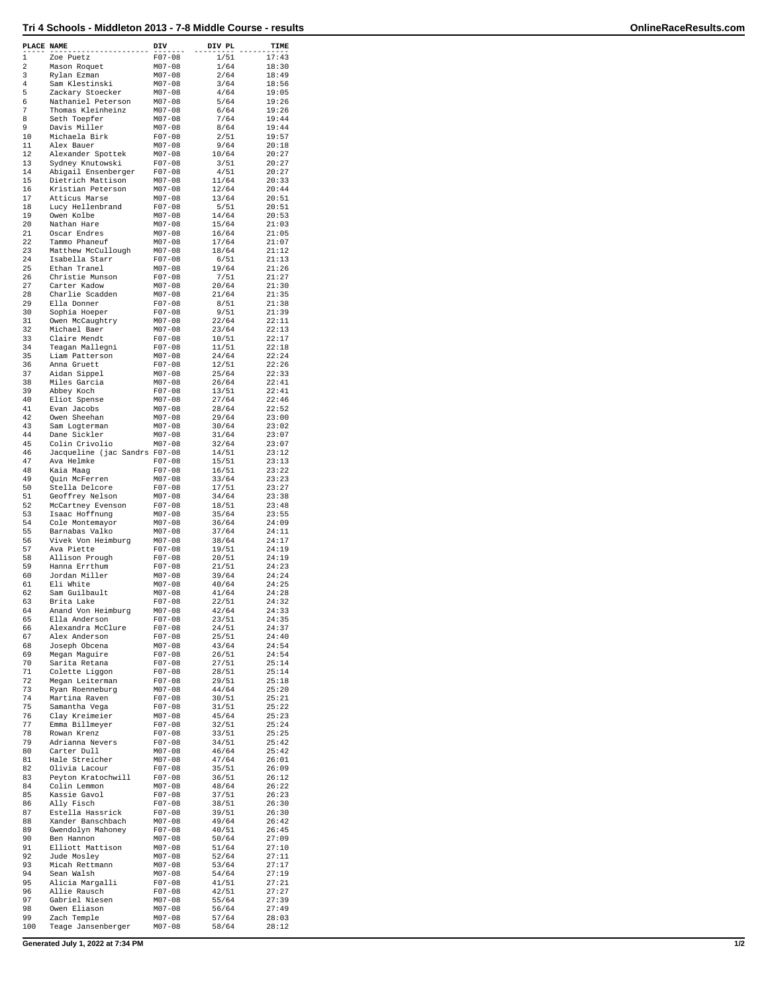| PLACE NAME |                                             | DIV                      | DIV PL         | TIME           |
|------------|---------------------------------------------|--------------------------|----------------|----------------|
| 1          | Zoe Puetz                                   | $F07 - 08$               | 1/51           | 17:43          |
| 2          | Mason Roquet                                | $M07 - 08$               | 1/64           | 18:30          |
| 3<br>4     | Rylan Ezman<br>Sam Klestinski               | $M07 - 08$<br>$M07 - 08$ | 2/64<br>3/64   | 18:49<br>18:56 |
| 5          | Zackary Stoecker                            | $M07 - 08$               | 4/64           | 19:05          |
| 6          | Nathaniel Peterson                          | $M07 - 08$               | 5/64           | 19:26          |
| 7<br>8     | Thomas Kleinheinz<br>Seth Toepfer           | $M07 - 08$<br>$M07 - 08$ | 6/64<br>7/64   | 19:26<br>19:44 |
| 9          | Davis Miller                                | $M07 - 08$               | 8/64           | 19:44          |
| 10         | Michaela Birk                               | $F07 - 08$               | 2/51           | 19:57          |
| 11<br>12   | Alex Bauer<br>Alexander Spottek             | $M07 - 08$<br>$M07 - 08$ | 9/64<br>10/64  | 20:18<br>20:27 |
| 13         | Sydney Knutowski                            | $F07 - 08$               | 3/51           | 20:27          |
| 14         | Abigail Ensenberger                         | $F07 - 08$               | 4/51           | 20:27          |
| 15<br>16   | Dietrich Mattison<br>Kristian Peterson      | $M07 - 08$<br>$M07 - 08$ | 11/64<br>12/64 | 20:33<br>20:44 |
| 17         | Atticus Marse                               | $M07 - 08$               | 13/64          | 20:51          |
| 18         | Lucy Hellenbrand                            | $F07 - 08$               | 5/51           | 20:51          |
| 19<br>20   | Owen Kolbe<br>Nathan Hare                   | $M07 - 08$<br>$M07 - 08$ | 14/64<br>15/64 | 20:53<br>21:03 |
| 21         | Oscar Endres                                | $M07 - 08$               | 16/64          | 21:05          |
| 22<br>23   | Tammo Phaneuf                               | $M07 - 08$               | 17/64<br>18/64 | 21:07          |
| 24         | Matthew McCullough<br>Isabella Starr        | $M07 - 08$<br>$F07 - 08$ | 6/51           | 21:12<br>21:13 |
| 25         | Ethan Tranel                                | $M07 - 08$               | 19/64          | 21:26          |
| 26<br>27   | Christie Munson<br>Carter Kadow             | $F07 - 08$<br>$M07 - 08$ | 7/51<br>20/64  | 21:27<br>21:30 |
| 28         | Charlie Scadden                             | $M07 - 08$               | 21/64          | 21:35          |
| 29         | Ella Donner                                 | $F07 - 08$               | 8/51           | 21:38          |
| 30<br>31   | Sophia Hoeper<br>Owen McCaughtry            | $F07 - 08$<br>$M07 - 08$ | 9/51<br>22/64  | 21:39<br>22:11 |
| 32         | Michael Baer                                | $M07 - 08$               | 23/64          | 22:13          |
| 33         | Claire Mendt                                | $F07 - 08$               | 10/51          | 22:17          |
| 34         | Teagan Mallegni                             | $F07 - 08$               | 11/51          | 22:18          |
| 35<br>36   | Liam Patterson<br>Anna Gruett               | $M07 - 08$<br>$F07 - 08$ | 24/64<br>12/51 | 22:24<br>22:26 |
| 37         | Aidan Sippel                                | $M07 - 08$               | 25/64          | 22:33          |
| 38<br>39   | Miles Garcia                                | $M07 - 08$<br>$F07 - 08$ | 26/64<br>13/51 | 22:41<br>22:41 |
| 40         | Abbey Koch<br>Eliot Spense                  | $M07 - 08$               | 27/64          | 22:46          |
| 41         | Evan Jacobs                                 | $M07 - 08$               | 28/64          | 22:52          |
| 42<br>43   | Owen Sheehan                                | $M07 - 08$<br>$M07 - 08$ | 29/64          | 23:00<br>23:02 |
| 44         | Sam Logterman<br>Dane Sickler               | $M07 - 08$               | 30/64<br>31/64 | 23:07          |
| 45         | Colin Crivolio                              | $M07 - 08$               | 32/64          | 23:07          |
| 46<br>47   | Jacqueline (jac Sandrs F07-08<br>Ava Helmke | $F07 - 08$               | 14/51<br>15/51 | 23:12<br>23:13 |
| 48         | Kaia Maag                                   | $F07 - 08$               | 16/51          | 23:22          |
| 49         | Quin McFerren                               | $M07 - 08$               | 33/64          | 23:23          |
| 50<br>51   | Stella Delcore<br>Geoffrey Nelson           | $F07 - 08$<br>$M07 - 08$ | 17/51<br>34/64 | 23:27<br>23:38 |
| 52         | McCartney Evenson                           | $F07 - 08$               | 18/51          | 23:48          |
| 53         | Isaac Hoffnung                              | $M07 - 08$               | 35/64          | 23:55          |
| 54<br>55   | Cole Montemayor<br>Barnabas Valko           | $M07 - 08$<br>$M07 - 08$ | 36/64<br>37/64 | 24:09<br>24:11 |
| 56         | Vivek Von Heimburg                          | $M07 - 08$               | 38/64          | 24:17          |
| 57         | Ava Piette                                  | $F07 - 08$               | 19/51          | 24:19          |
| 58<br>59   | Allison Prough<br>Hanna Errthum             | $F07 - 08$<br>$F07 - 08$ | 20/51<br>21/51 | 24:19<br>24:23 |
| 60         | Jordan Miller                               | $M07 - 08$               | 39/64          | 24:24          |
| 61         | Eli White                                   | $M07 - 08$<br>$M07 - 08$ | 40/64          | 24:25          |
| 62<br>63   | Sam Guilbault<br>Brita Lake                 | F07-08                   | 41/64<br>22/51 | 24:28<br>24:32 |
| 64         | Anand Von Heimburg                          | $M07 - 08$               | 42/64          | 24:33          |
| 65<br>66   | Ella Anderson<br>Alexandra McClure          | $F07 - 08$<br>$F07 - 08$ | 23/51<br>24/51 | 24:35<br>24:37 |
| 67         | Alex Anderson                               | $F07 - 08$               | 25/51          | 24:40          |
| 68         | Joseph Obcena                               | $M07 - 08$               | 43/64          | 24:54          |
| 69<br>70   | Megan Maguire<br>Sarita Retana              | $F07 - 08$<br>$F07 - 08$ | 26/51<br>27/51 | 24:54<br>25:14 |
| 71         | Colette Liggon                              | $F07 - 08$               | 28/51          | 25:14          |
| 72         | Megan Leiterman                             | $F07 - 08$               | 29/51          | 25:18          |
| 73<br>74   | Ryan Roenneburg<br>Martina Raven            | $M07 - 08$<br>$F07 - 08$ | 44/64<br>30/51 | 25:20<br>25:21 |
| 75         | Samantha Vega                               | $F07 - 08$               | 31/51          | 25:22          |
| 76         | Clay Kreimeier                              | $M07 - 08$               | 45/64          | 25:23          |
| 77<br>78   | Emma Billmeyer<br>Rowan Krenz               | $F07 - 08$<br>$F07 - 08$ | 32/51<br>33/51 | 25:24<br>25:25 |
| 79         | Adrianna Nevers                             | $F07 - 08$               | 34/51          | 25:42          |
| 80         | Carter Dull                                 | $M07 - 08$               | 46/64          | 25:42          |
| 81<br>82   | Hale Streicher<br>Olivia Lacour             | $M07 - 08$<br>$F07 - 08$ | 47/64<br>35/51 | 26:01<br>26:09 |
| 83         | Peyton Kratochwill                          | $F07 - 08$               | 36/51          | 26:12          |
| 84         | Colin Lemmon                                | $M07 - 08$               | 48/64          | 26:22          |
| 85<br>86   | Kassie Gavol<br>Ally Fisch                  | $F07 - 08$<br>$F07 - 08$ | 37/51<br>38/51 | 26:23<br>26:30 |
| 87         | Estella Hassrick                            | $F07 - 08$               | 39/51          | 26:30          |
| 88         | Xander Banschbach                           | $M07 - 08$               | 49/64          | 26:42          |
| 89<br>90   | Gwendolyn Mahoney<br>Ben Hannon             | $F07 - 08$<br>$M07 - 08$ | 40/51<br>50/64 | 26:45<br>27:09 |
| 91         | Elliott Mattison                            | $M07 - 08$               | 51/64          | 27:10          |
| 92<br>93   | Jude Mosley<br>Micah Rettmann               | $M07 - 08$<br>$M07 - 08$ | 52/64<br>53/64 | 27:11<br>27:17 |
| 94         | Sean Walsh                                  | $M07 - 08$               | 54/64          | 27:19          |
| 95         | Alicia Margalli                             | $F07 - 08$               | 41/51          | 27:21          |
| 96<br>97   | Allie Rausch<br>Gabriel Niesen              | $F07 - 08$<br>$M07 - 08$ | 42/51<br>55/64 | 27:27<br>27:39 |
| 98         | Owen Eliason                                | $M07 - 08$               | 56/64          | 27:49          |
| 99         | Zach Temple                                 | $M07 - 08$               | 57/64          | 28:03          |
| 100        | Teage Jansenberger                          | $M07 - 08$               | 58/64          | 28:12          |

**Generated July 1, 2022 at 7:34 PM 1/2**